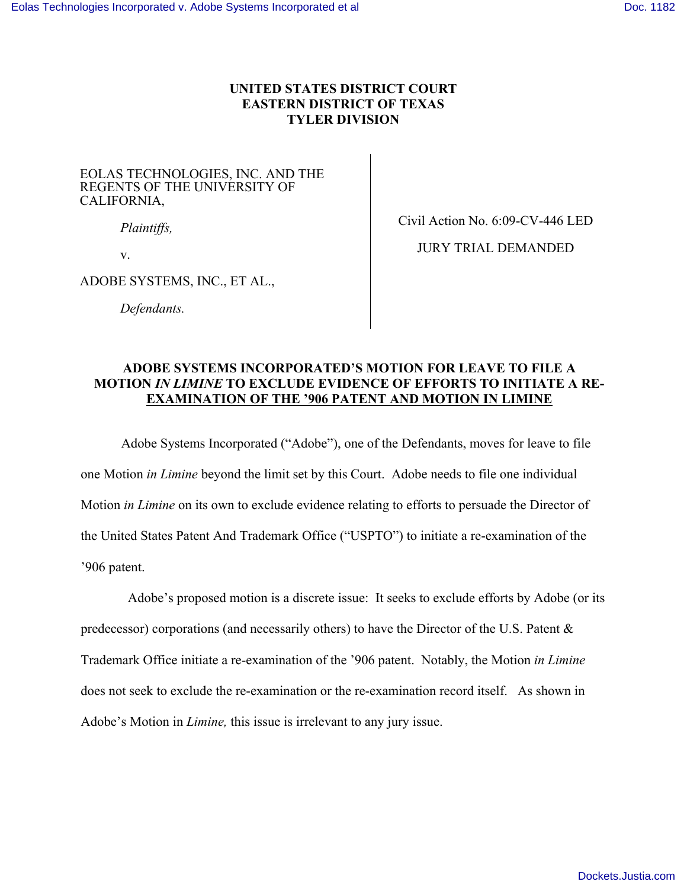### **UNITED STATES DISTRICT COURT EASTERN DISTRICT OF TEXAS TYLER DIVISION**

#### EOLAS TECHNOLOGIES, INC. AND THE REGENTS OF THE UNIVERSITY OF CALIFORNIA,

*Plaintiffs,* 

v.

Civil Action No. 6:09-CV-446 LED

ADOBE SYSTEMS, INC., ET AL.,

 *Defendants.* 

JURY TRIAL DEMANDED

### **ADOBE SYSTEMS INCORPORATED'S MOTION FOR LEAVE TO FILE A MOTION** *IN LIMINE* **TO EXCLUDE EVIDENCE OF EFFORTS TO INITIATE A RE-EXAMINATION OF THE '906 PATENT AND MOTION IN LIMINE**

Adobe Systems Incorporated ("Adobe"), one of the Defendants, moves for leave to file one Motion *in Limine* beyond the limit set by this Court. Adobe needs to file one individual Motion *in Limine* on its own to exclude evidence relating to efforts to persuade the Director of the United States Patent And Trademark Office ("USPTO") to initiate a re-examination of the '906 patent.

 Adobe's proposed motion is a discrete issue: It seeks to exclude efforts by Adobe (or its predecessor) corporations (and necessarily others) to have the Director of the U.S. Patent & Trademark Office initiate a re-examination of the '906 patent. Notably, the Motion *in Limine* does not seek to exclude the re-examination or the re-examination record itself. As shown in Adobe's Motion in *Limine,* this issue is irrelevant to any jury issue.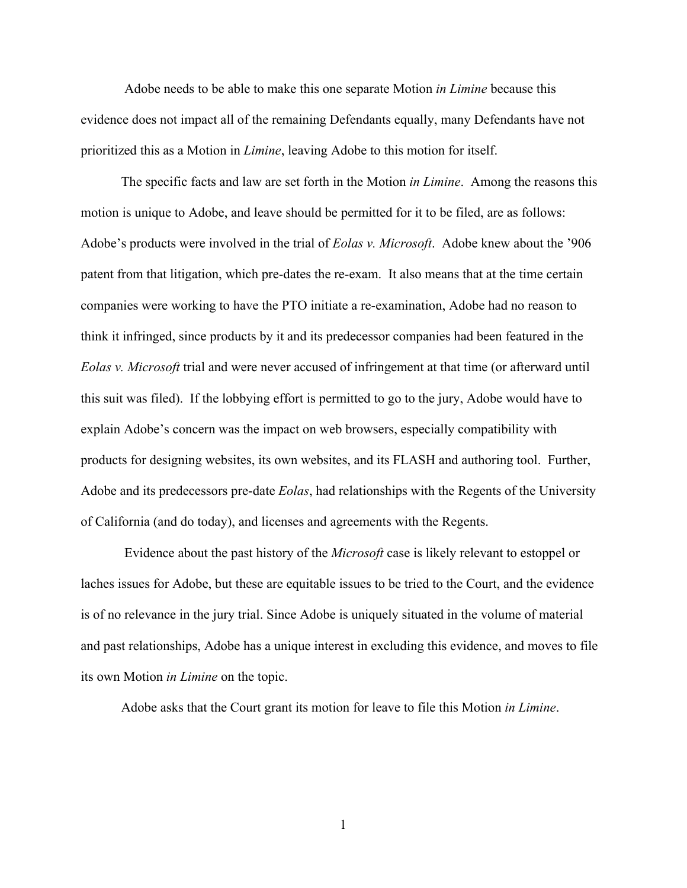Adobe needs to be able to make this one separate Motion *in Limine* because this evidence does not impact all of the remaining Defendants equally, many Defendants have not prioritized this as a Motion in *Limine*, leaving Adobe to this motion for itself.

The specific facts and law are set forth in the Motion *in Limine*. Among the reasons this motion is unique to Adobe, and leave should be permitted for it to be filed, are as follows: Adobe's products were involved in the trial of *Eolas v. Microsoft*. Adobe knew about the '906 patent from that litigation, which pre-dates the re-exam. It also means that at the time certain companies were working to have the PTO initiate a re-examination, Adobe had no reason to think it infringed, since products by it and its predecessor companies had been featured in the *Eolas v. Microsoft* trial and were never accused of infringement at that time (or afterward until this suit was filed). If the lobbying effort is permitted to go to the jury, Adobe would have to explain Adobe's concern was the impact on web browsers, especially compatibility with products for designing websites, its own websites, and its FLASH and authoring tool. Further, Adobe and its predecessors pre-date *Eolas*, had relationships with the Regents of the University of California (and do today), and licenses and agreements with the Regents.

 Evidence about the past history of the *Microsoft* case is likely relevant to estoppel or laches issues for Adobe, but these are equitable issues to be tried to the Court, and the evidence is of no relevance in the jury trial. Since Adobe is uniquely situated in the volume of material and past relationships, Adobe has a unique interest in excluding this evidence, and moves to file its own Motion *in Limine* on the topic.

Adobe asks that the Court grant its motion for leave to file this Motion *in Limine*.

1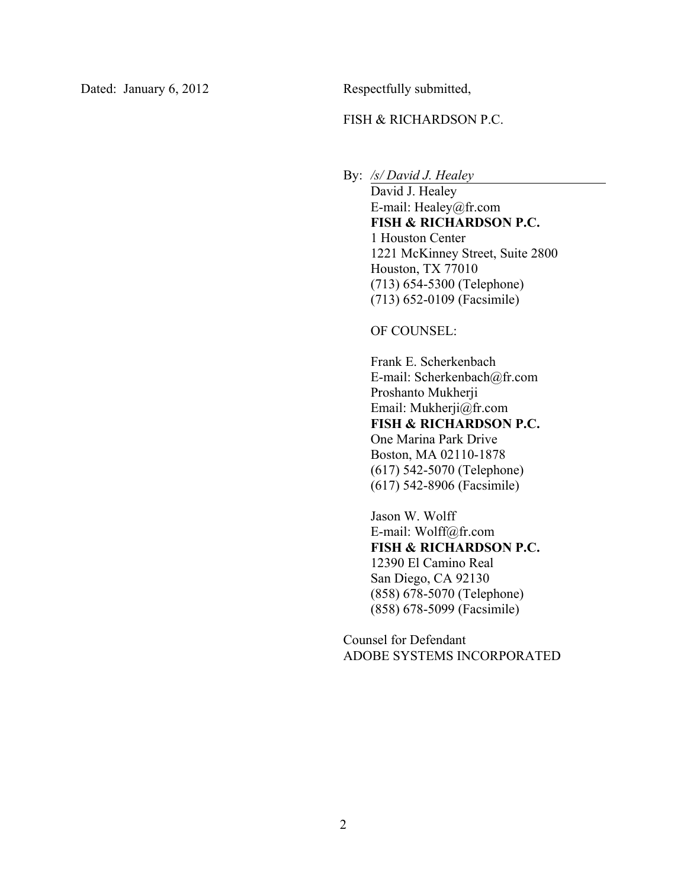Dated: January 6, 2012 Respectfully submitted,

### FISH & RICHARDSON P.C.

By: */s/ David J. Healey*

David J. Healey E-mail: Healey@fr.com **FISH & RICHARDSON P.C.**  1 Houston Center 1221 McKinney Street, Suite 2800 Houston, TX 77010 (713) 654-5300 (Telephone) (713) 652-0109 (Facsimile)

OF COUNSEL:

Frank E. Scherkenbach E-mail: Scherkenbach@fr.com Proshanto Mukherji Email: Mukherji@fr.com **FISH & RICHARDSON P.C.**  One Marina Park Drive Boston, MA 02110-1878 (617) 542-5070 (Telephone) (617) 542-8906 (Facsimile)

Jason W. Wolff E-mail: Wolff@fr.com **FISH & RICHARDSON P.C.**  12390 El Camino Real San Diego, CA 92130 (858) 678-5070 (Telephone) (858) 678-5099 (Facsimile)

Counsel for Defendant ADOBE SYSTEMS INCORPORATED